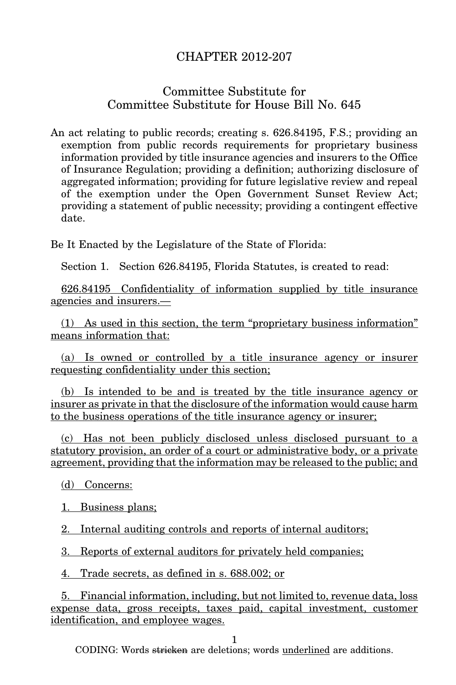## CHAPTER 2012-207

## Committee Substitute for Committee Substitute for House Bill No. 645

An act relating to public records; creating s. 626.84195, F.S.; providing an exemption from public records requirements for proprietary business information provided by title insurance agencies and insurers to the Office of Insurance Regulation; providing a definition; authorizing disclosure of aggregated information; providing for future legislative review and repeal of the exemption under the Open Government Sunset Review Act; providing a statement of public necessity; providing a contingent effective date.

Be It Enacted by the Legislature of the State of Florida:

Section 1. Section 626.84195, Florida Statutes, is created to read:

626.84195 Confidentiality of information supplied by title insurance agencies and insurers.—

(1) As used in this section, the term "proprietary business information" means information that:

(a) Is owned or controlled by a title insurance agency or insurer requesting confidentiality under this section;

(b) Is intended to be and is treated by the title insurance agency or insurer as private in that the disclosure of the information would cause harm to the business operations of the title insurance agency or insurer;

(c) Has not been publicly disclosed unless disclosed pursuant to a statutory provision, an order of a court or administrative body, or a private agreement, providing that the information may be released to the public; and

(d) Concerns:

1. Business plans;

2. Internal auditing controls and reports of internal auditors;

3. Reports of external auditors for privately held companies;

4. Trade secrets, as defined in s. 688.002; or

5. Financial information, including, but not limited to, revenue data, loss expense data, gross receipts, taxes paid, capital investment, customer identification, and employee wages.

1

CODING: Words stricken are deletions; words underlined are additions.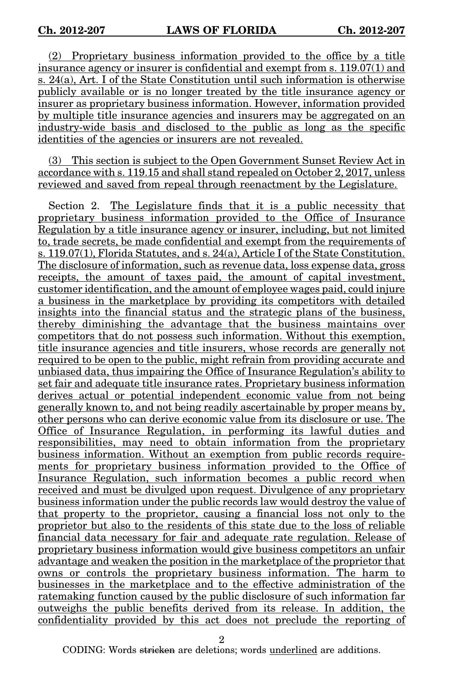(2) Proprietary business information provided to the office by a title insurance agency or insurer is confidential and exempt from s. 119.07(1) and s. 24(a), Art. I of the State Constitution until such information is otherwise publicly available or is no longer treated by the title insurance agency or insurer as proprietary business information. However, information provided by multiple title insurance agencies and insurers may be aggregated on an industry-wide basis and disclosed to the public as long as the specific identities of the agencies or insurers are not revealed.

(3) This section is subject to the Open Government Sunset Review Act in accordance with s. 119.15 and shall stand repealed on October 2, 2017, unless reviewed and saved from repeal through reenactment by the Legislature.

Section 2. The Legislature finds that it is a public necessity that proprietary business information provided to the Office of Insurance Regulation by a title insurance agency or insurer, including, but not limited to, trade secrets, be made confidential and exempt from the requirements of s. 119.07(1), Florida Statutes, and s. 24(a), Article I of the State Constitution. The disclosure of information, such as revenue data, loss expense data, gross receipts, the amount of taxes paid, the amount of capital investment, customer identification, and the amount of employee wages paid, could injure a business in the marketplace by providing its competitors with detailed insights into the financial status and the strategic plans of the business, thereby diminishing the advantage that the business maintains over competitors that do not possess such information. Without this exemption, title insurance agencies and title insurers, whose records are generally not required to be open to the public, might refrain from providing accurate and unbiased data, thus impairing the Office of Insurance Regulation's ability to set fair and adequate title insurance rates. Proprietary business information derives actual or potential independent economic value from not being generally known to, and not being readily ascertainable by proper means by, other persons who can derive economic value from its disclosure or use. The Office of Insurance Regulation, in performing its lawful duties and responsibilities, may need to obtain information from the proprietary business information. Without an exemption from public records requirements for proprietary business information provided to the Office of Insurance Regulation, such information becomes a public record when received and must be divulged upon request. Divulgence of any proprietary business information under the public records law would destroy the value of that property to the proprietor, causing a financial loss not only to the proprietor but also to the residents of this state due to the loss of reliable financial data necessary for fair and adequate rate regulation. Release of proprietary business information would give business competitors an unfair advantage and weaken the position in the marketplace of the proprietor that owns or controls the proprietary business information. The harm to businesses in the marketplace and to the effective administration of the ratemaking function caused by the public disclosure of such information far outweighs the public benefits derived from its release. In addition, the confidentiality provided by this act does not preclude the reporting of

2

CODING: Words stricken are deletions; words underlined are additions.